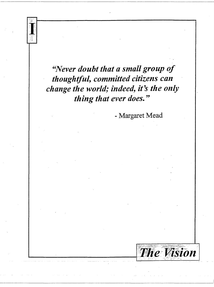"Never doubt that a small group of thoughtful, committed citizens can change the world; indeed, it's the only thing that ever does."

- Margaret Mead

**The Vision**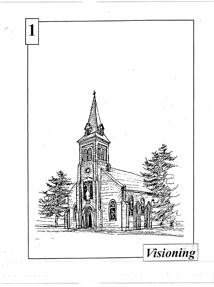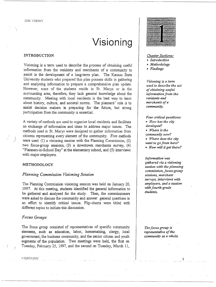# **Visioning**

## INTRODUCTION

Visioning is a term used to describe the process of obtaining useful information from the residents and merchants of a community to assist in the development of a long-term plan. The Kansas State University students who prepared this plan possess skills in gathering and analyzing information to prepare a comprehensive plan update. However, none of the students reside in St. Marys or in the surrounding area, therefore, they lack general knowledge about the community. Meeting with local residents is the best way to learn about history, culture, and societal norms. The planners' role is to assist decision makers in preparing for the future, but strong participation from the community is essential.

A variety of methods are used to organize local residents and facilitate an exchange of information and ideas to address major issues. The methods used in St. Marys were designed to gather information from citizens representing every element of the community. Five methods were used: (1) a visioning session with the Planning Commission, (2) two focus-group sessions, (3) a downtown merchants survey, (4) "Planners-in-School Day" at the elementary school, and (5) interviews with major employers.

## METHODOLOGY

)

# *Planning Commission Visioning Session*

The Planning Commission visioning session was held on January 20, 1997. At this meeting, students identified the general information to be gathered and analyzed for the study. Then, the commissioners were asked to discuss the community and answer general questions in an effort to identify critical issues. Flip-charts were titled with different topics to initiate this discussion.

## *Focus Groups*

The focus group consisted of representatives of specific community elements, such as education, labor, homemaking, clergy, local government, the business community, and the senior citizen and youth segments of the population. Two meetings were held, the first on Tuesday, February 25, 1997, and the second on Tuesday, March 11,



## *Chapter Sections:*

- *Introduction*
- *Methodology*
- *Findings*

*Visioning is a term used to describe the act of obtaining useful information from the residents and merchants of a community.* 

*Four critical questions:*  • *How has the city developed?*  • *Where is the community now?*  • *Where does the city want to go from here?*  • *How will* it *get there?* 

*Information* was *gathered via a visioning session with the planning commission, focus-group sessions, merchant ·surveys, interviews with employers, and a session with fourth-grade students.* 

*The focus group is representative of the community as a whole.* 

1

J "/SJOS!NG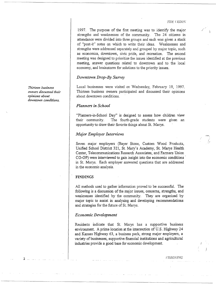*-·-;: ....*  / ..

1997. The purpose of the first meeting was to identify the major strengths and weaknesses of the community. The 24 citizens in attendance were divided into three groups and each was given a stack of "post-it" notes on which to write their ideas. Weaknesses and strengths were addressed separately and grouped by major topic, such as economics, downtown, civic pride, and recreation. The second meeting was designed to prioritize the issues identified at the previous meeting, answer questions related to downtown and to the local economy, and brainstorm for solutions to the priority issues.

## *Downtown Drop-By Survey*

Local businesses were visited on Wednesday, February 19, 1997. Thirteen business owners participated and discussed their opinions about downtown conditions.

# *Planners in School*

"Planners-in-School Day" is designed to assess how children view their community. The fourth-grade students were given an opportunity to draw their favorite things about St. Marys.

## *Major Employer Interviews*

Seven major employers (Bayer Stone, Custom Wood Products, Unified School District 321, St. Mary's Academy, St. Marys Health Center, Telecommunications Research Associates, and Farmers Union CO-OP) were interviewed to gain insight into the economic conditions · in St. Marys. Each employer answered questions that are addressed in the economic analysis.

#### FINDINGS

All methods used to gather information proved to be successful. The following is a discussion of the major issues, concerns, strengths, and weaknesses identified by the community. They are organized by major topic to assist in analyzing and developing recommendations and strategies for the future of St. Marys.

## *Economic Development*

Residents indicate that St. Marys has a supportive business environment. A prime location at the intersection of U.S. Highway 24 and Kansas Highway 63, a business park, strong major employers, a variety of businesses, supportive financial institutions and agricultural industries provide a good base for economic development.

*Thirteen business owners discussed their opinions about downtown conditions.* 

2

**FISIONING**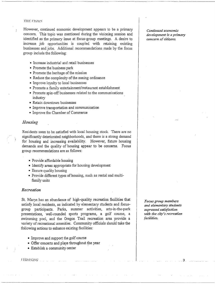#### **THE FISHON**

However, continued economic development appears to be a primary concern. This topic was mentioned during the visioning session and identified as the primary issue at focus-group meetings. A desire to increase job opportunities is coup led with retaining existing businesses and jobs. Additional recommendations made by the focus group include the following:

- Increase industrial and retail businesses
- Promote the business park
- Promote the heritage of the mission
- Reduce the complexity of the zoning ordinance
- Improve loyalty to local businesses
- Promote a family entertainment/restaurant establishment
- Promote spin-off businesses related to the communications industry
- Retain downtown businesses
- Improve transportation and communication
- Improve the Chamber of Commerce

## *Housing*

Residents seem to be satisfied with local housing stock. There are no significantly deteriorated neighborhoods, and there is a strong demand for housing and increasing availability. However, future housing demands and the quality of housing appear to be concerns. Focus group recommendations are as follows:

- Provide affordable housing
- Identify areas appropriate for housing development
- Ensure quality housing
- Provide different types of housing, such as rental and multifamily units

# *Recreation*

St. Marys has an abundance of high-quality recreation facilities that satisfy local residents, as indicated by elementary students and focusgroup participants. Parks, summer activities, arts-in-the-park presentations, well-rounded sports programs, a golf course, a swimming pool, and the Oregon Trail recreation area provide a variety of recreational amenities. Community officials should take the following actions to enhance existing facilities:

- Improve and support the golf course
- Offer concerts and plays throughout the year
- Establish a community center

#### JJSJOSJNG.

*Continued economic development is a primary concern of citizens.* 

... ·

*Focus group members and elementary students expressed satisfaction with the city's recreation facilities.* 

. 3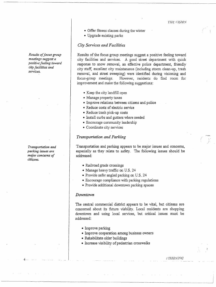- Offer fitness classes during the winter
- Upgrade existing parks

## *City Services and Facilities*

Results of the focus group meetings suggest a positive feeling toward city facilities and services. A good street department with quick response to snow removal, an effective police department, friendly city staff, excellent city maintenance (including storm clean-up, trash removal, and street sweeping) were identified during visioning and focus-group meetings. However, residents do find room for improvement and make the following suggestions:

- Keep the city landfill open
- Manage property taxes
- Improve relations between citizens and police
- Reduce costs of electric service
- Reduce trash pick-up costs
- Install curbs and gutters where needed
- Encourage community leadership
- Coordinate city services

## *Transportation and Parking*

Transportation and parking appears to be major issues and concerns, especially as they relate to safety. The following issues should be addressed:

- Railroad grade crossings
- Manage heavy traffic on U.S. 24
- Provide safer angled parking on U.S. 24
- Encourage compliance with parking regulations
- Provide additional downtown parking spaces

#### *Downtown*

The central commercial district appears to be vital, but citizens are concerned about its future viability. Local residents are shopping downtown and using local services, but critical issues must be addressed:

- Improve parking
- Improve cooperation among business owners
- Rehabilitate older buildings
- Increase visibility of pedestrian crosswalks

*Results of focus group meetings suggest a positive feeling toward city facilities and services.* 

*Transportation and parking issues are major concerns of citizens.* 

I 'fSIO:VfNG